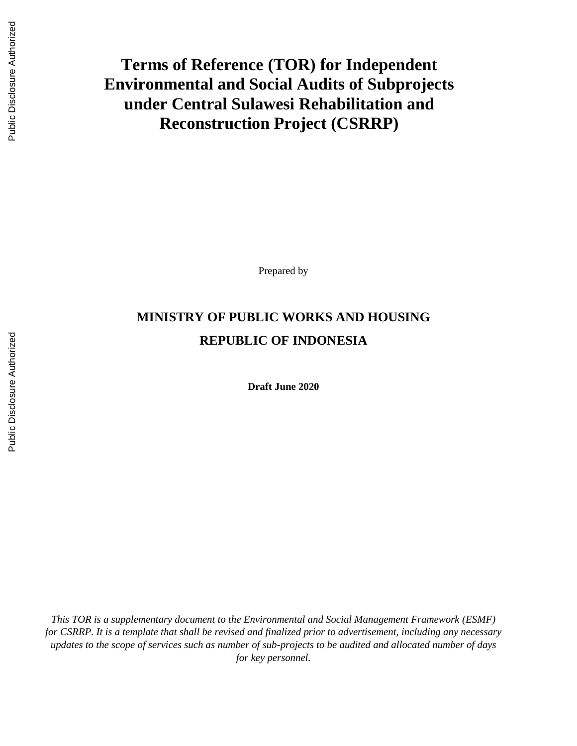# **Terms of Reference (TOR) for Independent Environmental and Social Audits of Subprojects under Central Sulawesi Rehabilitation and Reconstruction Project (CSRRP)**

Prepared by

# **MINISTRY OF PUBLIC WORKS AND HOUSING REPUBLIC OF INDONESIA**

**Draft June 2020**

*This TOR is a supplementary document to the Environmental and Social Management Framework (ESMF) for CSRRP. It is a template that shall be revised and finalized prior to advertisement, including any necessary updates to the scope of services such as number of sub-projects to be audited and allocated number of days for key personnel.*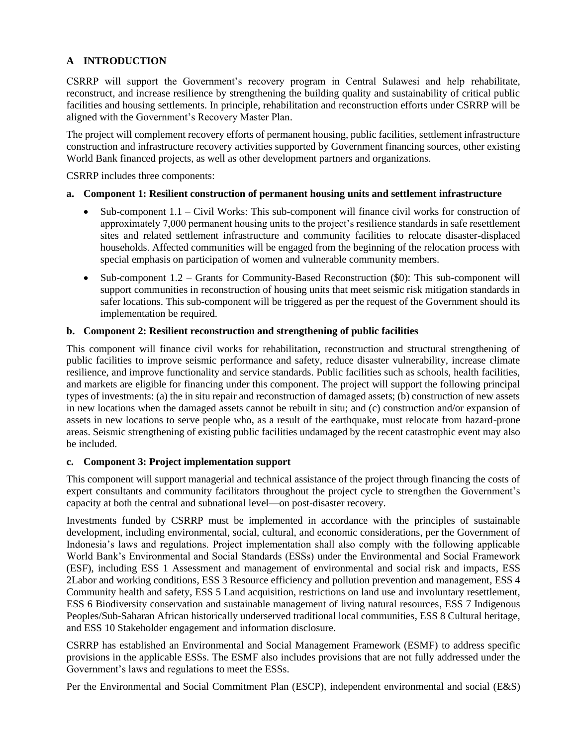# **A INTRODUCTION**

CSRRP will support the Government's recovery program in Central Sulawesi and help rehabilitate, reconstruct, and increase resilience by strengthening the building quality and sustainability of critical public facilities and housing settlements. In principle, rehabilitation and reconstruction efforts under CSRRP will be aligned with the Government's Recovery Master Plan.

The project will complement recovery efforts of permanent housing, public facilities, settlement infrastructure construction and infrastructure recovery activities supported by Government financing sources, other existing World Bank financed projects, as well as other development partners and organizations.

CSRRP includes three components:

#### **a. Component 1: Resilient construction of permanent housing units and settlement infrastructure**

- Sub-component 1.1 Civil Works: This sub-component will finance civil works for construction of approximately 7,000 permanent housing units to the project's resilience standards in safe resettlement sites and related settlement infrastructure and community facilities to relocate disaster-displaced households. Affected communities will be engaged from the beginning of the relocation process with special emphasis on participation of women and vulnerable community members.
- Sub-component 1.2 Grants for Community-Based Reconstruction (\$0): This sub-component will support communities in reconstruction of housing units that meet seismic risk mitigation standards in safer locations. This sub-component will be triggered as per the request of the Government should its implementation be required.

## **b. Component 2: Resilient reconstruction and strengthening of public facilities**

This component will finance civil works for rehabilitation, reconstruction and structural strengthening of public facilities to improve seismic performance and safety, reduce disaster vulnerability, increase climate resilience, and improve functionality and service standards. Public facilities such as schools, health facilities, and markets are eligible for financing under this component. The project will support the following principal types of investments: (a) the in situ repair and reconstruction of damaged assets; (b) construction of new assets in new locations when the damaged assets cannot be rebuilt in situ; and (c) construction and/or expansion of assets in new locations to serve people who, as a result of the earthquake, must relocate from hazard-prone areas. Seismic strengthening of existing public facilities undamaged by the recent catastrophic event may also be included.

#### **c. Component 3: Project implementation support**

This component will support managerial and technical assistance of the project through financing the costs of expert consultants and community facilitators throughout the project cycle to strengthen the Government's capacity at both the central and subnational level—on post-disaster recovery.

Investments funded by CSRRP must be implemented in accordance with the principles of sustainable development, including environmental, social, cultural, and economic considerations, per the Government of Indonesia's laws and regulations. Project implementation shall also comply with the following applicable World Bank's Environmental and Social Standards (ESSs) under the Environmental and Social Framework (ESF), including ESS 1 Assessment and management of environmental and social risk and impacts, ESS 2Labor and working conditions, ESS 3 Resource efficiency and pollution prevention and management, ESS 4 Community health and safety, ESS 5 Land acquisition, restrictions on land use and involuntary resettlement, ESS 6 Biodiversity conservation and sustainable management of living natural resources, ESS 7 Indigenous Peoples/Sub-Saharan African historically underserved traditional local communities, ESS 8 Cultural heritage, and ESS 10 Stakeholder engagement and information disclosure.

CSRRP has established an Environmental and Social Management Framework (ESMF) to address specific provisions in the applicable ESSs. The ESMF also includes provisions that are not fully addressed under the Government's laws and regulations to meet the ESSs.

Per the Environmental and Social Commitment Plan (ESCP), independent environmental and social (E&S)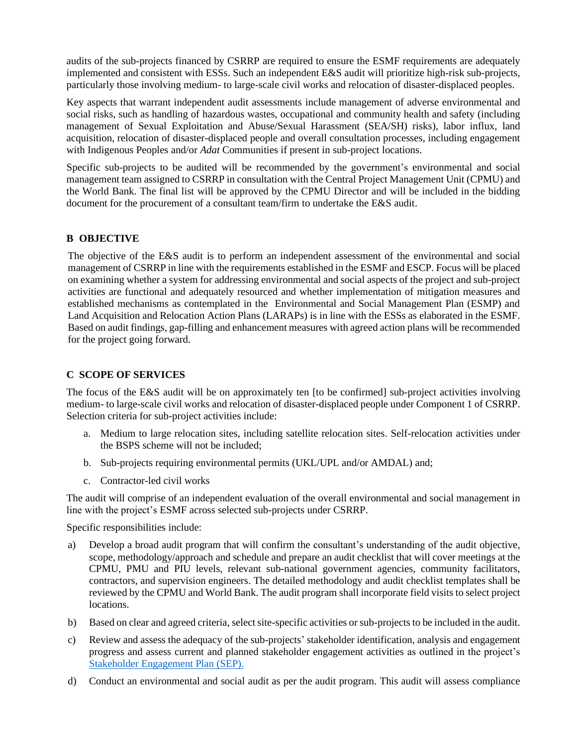audits of the sub-projects financed by CSRRP are required to ensure the ESMF requirements are adequately implemented and consistent with ESSs. Such an independent E&S audit will prioritize high-risk sub-projects, particularly those involving medium- to large-scale civil works and relocation of disaster-displaced peoples.

Key aspects that warrant independent audit assessments include management of adverse environmental and social risks, such as handling of hazardous wastes, occupational and community health and safety (including management of Sexual Exploitation and Abuse/Sexual Harassment (SEA/SH) risks), labor influx, land acquisition, relocation of disaster-displaced people and overall consultation processes, including engagement with Indigenous Peoples and/or *Adat* Communities if present in sub-project locations.

Specific sub-projects to be audited will be recommended by the government's environmental and social management team assigned to CSRRP in consultation with the Central Project Management Unit (CPMU) and the World Bank. The final list will be approved by the CPMU Director and will be included in the bidding document for the procurement of a consultant team/firm to undertake the E&S audit.

# **B OBJECTIVE**

The objective of the E&S audit is to perform an independent assessment of the environmental and social management of CSRRP in line with the requirements established in the ESMF and ESCP. Focus will be placed on examining whether a system for addressing environmental and social aspects of the project and sub-project activities are functional and adequately resourced and whether implementation of mitigation measures and established mechanisms as contemplated in the Environmental and Social Management Plan (ESMP) and Land Acquisition and Relocation Action Plans (LARAPs) is in line with the ESSs as elaborated in the ESMF. Based on audit findings, gap-filling and enhancement measures with agreed action plans will be recommended for the project going forward.

## **C SCOPE OF SERVICES**

The focus of the E&S audit will be on approximately ten [to be confirmed] sub-project activities involving medium- to large-scale civil works and relocation of disaster-displaced people under Component 1 of CSRRP. Selection criteria for sub-project activities include:

- a. Medium to large relocation sites, including satellite relocation sites. Self-relocation activities under the BSPS scheme will not be included;
- b. Sub-projects requiring environmental permits (UKL/UPL and/or AMDAL) and;
- c. Contractor-led civil works

The audit will comprise of an independent evaluation of the overall environmental and social management in line with the project's ESMF across selected sub-projects under CSRRP.

Specific responsibilities include:

- a) Develop a broad audit program that will confirm the consultant's understanding of the audit objective, scope, methodology/approach and schedule and prepare an audit checklist that will cover meetings at the CPMU, PMU and PIU levels, relevant sub-national government agencies, community facilitators, contractors, and supervision engineers. The detailed methodology and audit checklist templates shall be reviewed by the CPMU and World Bank. The audit program shall incorporate field visits to select project locations.
- b) Based on clear and agreed criteria, select site-specific activities or sub-projectsto be included in the audit.
- c) Review and assess the adequacy of the sub-projects' stakeholder identification, analysis and engagement progress and assess current and planned stakeholder engagement activities as outlined in the project's [Stakeholder Engagement Plan \(SEP\).](http://kotaku.pu.go.id/files/Media/Pustaka/Pedoman/ESCP%20-%20second%20draft%20-%20CSRRP%20P169403%20-%20May%209%202019%20(CK130519).pdf)
- d) Conduct an environmental and social audit as per the audit program. This audit will assess compliance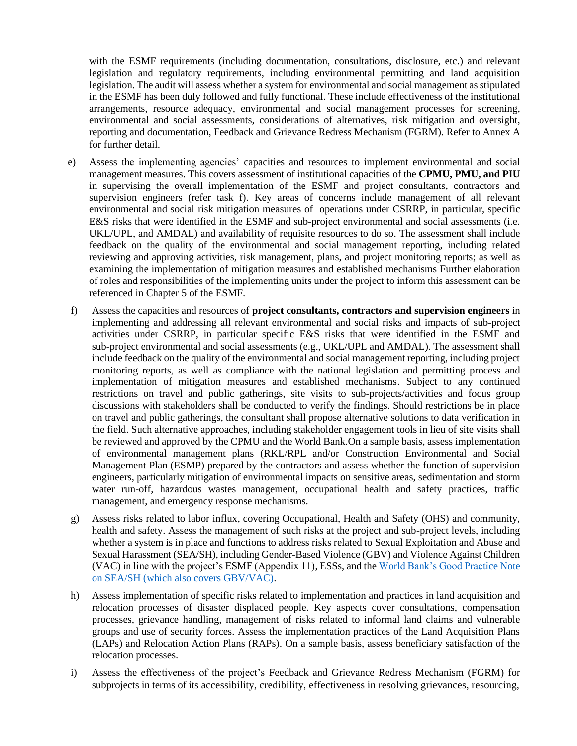with the ESMF requirements (including documentation, consultations, disclosure, etc.) and relevant legislation and regulatory requirements, including environmental permitting and land acquisition legislation. The audit will assess whether a system for environmental and social management as stipulated in the ESMF has been duly followed and fully functional. These include effectiveness of the institutional arrangements, resource adequacy, environmental and social management processes for screening, environmental and social assessments, considerations of alternatives, risk mitigation and oversight, reporting and documentation, Feedback and Grievance Redress Mechanism (FGRM). Refer to Annex A for further detail.

- e) Assess the implementing agencies' capacities and resources to implement environmental and social management measures. This covers assessment of institutional capacities of the **CPMU, PMU, and PIU** in supervising the overall implementation of the ESMF and project consultants, contractors and supervision engineers (refer task f). Key areas of concerns include management of all relevant environmental and social risk mitigation measures of operations under CSRRP, in particular, specific E&S risks that were identified in the ESMF and sub-project environmental and social assessments (i.e. UKL/UPL, and AMDAL) and availability of requisite resources to do so. The assessment shall include feedback on the quality of the environmental and social management reporting, including related reviewing and approving activities, risk management, plans, and project monitoring reports; as well as examining the implementation of mitigation measures and established mechanisms Further elaboration of roles and responsibilities of the implementing units under the project to inform this assessment can be referenced in Chapter 5 of the ESMF.
- f) Assess the capacities and resources of **project consultants, contractors and supervision engineers** in implementing and addressing all relevant environmental and social risks and impacts of sub-project activities under CSRRP, in particular specific E&S risks that were identified in the ESMF and sub-project environmental and social assessments (e.g., UKL/UPL and AMDAL). The assessment shall include feedback on the quality of the environmental and social management reporting, including project monitoring reports, as well as compliance with the national legislation and permitting process and implementation of mitigation measures and established mechanisms. Subject to any continued restrictions on travel and public gatherings, site visits to sub-projects/activities and focus group discussions with stakeholders shall be conducted to verify the findings. Should restrictions be in place on travel and public gatherings, the consultant shall propose alternative solutions to data verification in the field. Such alternative approaches, including stakeholder engagement tools in lieu of site visits shall be reviewed and approved by the CPMU and the World Bank.On a sample basis, assess implementation of environmental management plans (RKL/RPL and/or Construction Environmental and Social Management Plan (ESMP) prepared by the contractors and assess whether the function of supervision engineers, particularly mitigation of environmental impacts on sensitive areas, sedimentation and storm water run-off, hazardous wastes management, occupational health and safety practices, traffic management, and emergency response mechanisms.
- g) Assess risks related to labor influx, covering Occupational, Health and Safety (OHS) and community, health and safety. Assess the management of such risks at the project and sub-project levels, including whether a system is in place and functions to address risks related to Sexual Exploitation and Abuse and Sexual Harassment (SEA/SH), including Gender-Based Violence (GBV) and Violence Against Children (VAC) in line with the project's ESMF (Appendix 11), ESSs, and the [World Bank's Good Practice Note](http://pubdocs.worldbank.org/en/741681582580194727/ESF-Good-Practice-Note-on-GBV-in-Major-Civil-Works-v2.pdf)  [on SEA/SH](http://pubdocs.worldbank.org/en/741681582580194727/ESF-Good-Practice-Note-on-GBV-in-Major-Civil-Works-v2.pdf) (which also covers GBV/VAC).
- h) Assess implementation of specific risks related to implementation and practices in land acquisition and relocation processes of disaster displaced people. Key aspects cover consultations, compensation processes, grievance handling, management of risks related to informal land claims and vulnerable groups and use of security forces. Assess the implementation practices of the Land Acquisition Plans (LAPs) and Relocation Action Plans (RAPs). On a sample basis, assess beneficiary satisfaction of the relocation processes.
- i) Assess the effectiveness of the project's Feedback and Grievance Redress Mechanism (FGRM) for subprojects in terms of its accessibility, credibility, effectiveness in resolving grievances, resourcing,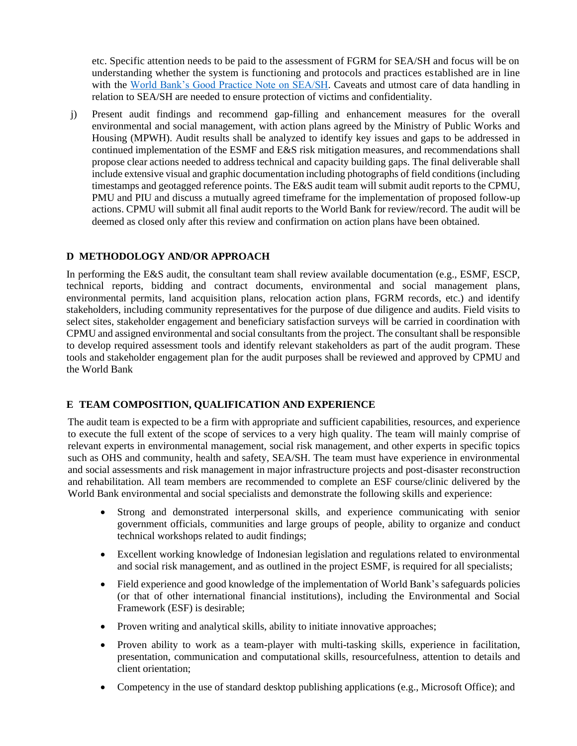etc. Specific attention needs to be paid to the assessment of FGRM for SEA/SH and focus will be on understanding whether the system is functioning and protocols and practices established are in line with the [World Bank's Good Practice Note on SEA/SH.](http://pubdocs.worldbank.org/en/741681582580194727/ESF-Good-Practice-Note-on-GBV-in-Major-Civil-Works-v2.pdf) Caveats and utmost care of data handling in relation to SEA/SH are needed to ensure protection of victims and confidentiality.

j) Present audit findings and recommend gap-filling and enhancement measures for the overall environmental and social management, with action plans agreed by the Ministry of Public Works and Housing (MPWH). Audit results shall be analyzed to identify key issues and gaps to be addressed in continued implementation of the ESMF and E&S risk mitigation measures, and recommendations shall propose clear actions needed to address technical and capacity building gaps. The final deliverable shall include extensive visual and graphic documentation including photographs of field conditions (including timestamps and geotagged reference points. The E&S audit team will submit audit reports to the CPMU, PMU and PIU and discuss a mutually agreed timeframe for the implementation of proposed follow-up actions. CPMU will submit all final audit reports to the World Bank for review/record. The audit will be deemed as closed only after this review and confirmation on action plans have been obtained.

## **D METHODOLOGY AND/OR APPROACH**

In performing the E&S audit, the consultant team shall review available documentation (e.g., ESMF, ESCP, technical reports, bidding and contract documents, environmental and social management plans, environmental permits, land acquisition plans, relocation action plans, FGRM records, etc.) and identify stakeholders, including community representatives for the purpose of due diligence and audits. Field visits to select sites, stakeholder engagement and beneficiary satisfaction surveys will be carried in coordination with CPMU and assigned environmental and social consultants from the project. The consultant shall be responsible to develop required assessment tools and identify relevant stakeholders as part of the audit program. These tools and stakeholder engagement plan for the audit purposes shall be reviewed and approved by CPMU and the World Bank

#### **E TEAM COMPOSITION, QUALIFICATION AND EXPERIENCE**

The audit team is expected to be a firm with appropriate and sufficient capabilities, resources, and experience to execute the full extent of the scope of services to a very high quality. The team will mainly comprise of relevant experts in environmental management, social risk management, and other experts in specific topics such as OHS and community, health and safety, SEA/SH. The team must have experience in environmental and social assessments and risk management in major infrastructure projects and post-disaster reconstruction and rehabilitation. All team members are recommended to complete an ESF course/clinic delivered by the World Bank environmental and social specialists and demonstrate the following skills and experience:

- Strong and demonstrated interpersonal skills, and experience communicating with senior government officials, communities and large groups of people, ability to organize and conduct technical workshops related to audit findings;
- Excellent working knowledge of Indonesian legislation and regulations related to environmental and social risk management, and as outlined in the project ESMF, is required for all specialists;
- Field experience and good knowledge of the implementation of World Bank's safeguards policies (or that of other international financial institutions), including the Environmental and Social Framework (ESF) is desirable;
- Proven writing and analytical skills, ability to initiate innovative approaches;
- Proven ability to work as a team-player with multi-tasking skills, experience in facilitation, presentation, communication and computational skills, resourcefulness, attention to details and client orientation;
- Competency in the use of standard desktop publishing applications (e.g., Microsoft Office); and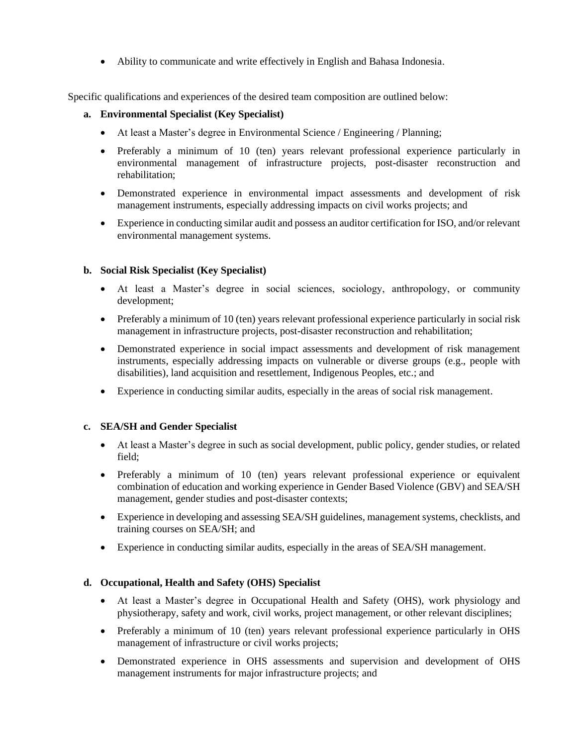• Ability to communicate and write effectively in English and Bahasa Indonesia.

Specific qualifications and experiences of the desired team composition are outlined below:

#### **a. Environmental Specialist (Key Specialist)**

- At least a Master's degree in Environmental Science / Engineering / Planning;
- Preferably a minimum of 10 (ten) years relevant professional experience particularly in environmental management of infrastructure projects, post-disaster reconstruction and rehabilitation;
- Demonstrated experience in environmental impact assessments and development of risk management instruments, especially addressing impacts on civil works projects; and
- Experience in conducting similar audit and possess an auditor certification for ISO, and/or relevant environmental management systems.

#### **b. Social Risk Specialist (Key Specialist)**

- At least a Master's degree in social sciences, sociology, anthropology, or community development;
- Preferably a minimum of 10 (ten) years relevant professional experience particularly in social risk management in infrastructure projects, post-disaster reconstruction and rehabilitation;
- Demonstrated experience in social impact assessments and development of risk management instruments, especially addressing impacts on vulnerable or diverse groups (e.g., people with disabilities), land acquisition and resettlement, Indigenous Peoples, etc.; and
- Experience in conducting similar audits, especially in the areas of social risk management.

#### **c. SEA/SH and Gender Specialist**

- At least a Master's degree in such as social development, public policy, gender studies, or related field;
- Preferably a minimum of 10 (ten) years relevant professional experience or equivalent combination of education and working experience in Gender Based Violence (GBV) and SEA/SH management, gender studies and post-disaster contexts;
- Experience in developing and assessing SEA/SH guidelines, management systems, checklists, and training courses on SEA/SH; and
- Experience in conducting similar audits, especially in the areas of SEA/SH management.

#### **d. Occupational, Health and Safety (OHS) Specialist**

- At least a Master's degree in Occupational Health and Safety (OHS), work physiology and physiotherapy, safety and work, civil works, project management, or other relevant disciplines;
- Preferably a minimum of 10 (ten) years relevant professional experience particularly in OHS management of infrastructure or civil works projects;
- Demonstrated experience in OHS assessments and supervision and development of OHS management instruments for major infrastructure projects; and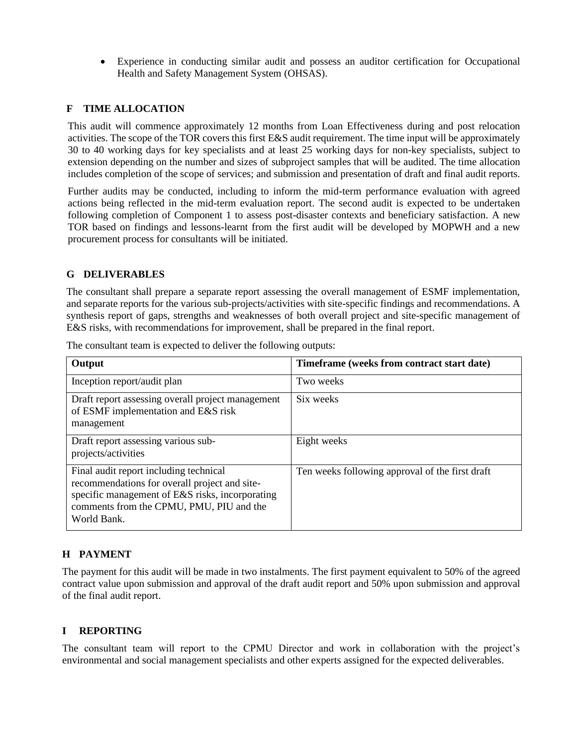• Experience in conducting similar audit and possess an auditor certification for Occupational Health and Safety Management System (OHSAS).

## **F TIME ALLOCATION**

This audit will commence approximately 12 months from Loan Effectiveness during and post relocation activities. The scope of the TOR covers this first E&S audit requirement. The time input will be approximately 30 to 40 working days for key specialists and at least 25 working days for non-key specialists, subject to extension depending on the number and sizes of subproject samples that will be audited. The time allocation includes completion of the scope of services; and submission and presentation of draft and final audit reports.

Further audits may be conducted, including to inform the mid-term performance evaluation with agreed actions being reflected in the mid-term evaluation report. The second audit is expected to be undertaken following completion of Component 1 to assess post-disaster contexts and beneficiary satisfaction. A new TOR based on findings and lessons-learnt from the first audit will be developed by MOPWH and a new procurement process for consultants will be initiated.

## **G DELIVERABLES**

The consultant shall prepare a separate report assessing the overall management of ESMF implementation, and separate reports for the various sub-projects/activities with site-specific findings and recommendations. A synthesis report of gaps, strengths and weaknesses of both overall project and site-specific management of E&S risks, with recommendations for improvement, shall be prepared in the final report.

| Output                                                                                                                                                                                                | Timeframe (weeks from contract start date)      |
|-------------------------------------------------------------------------------------------------------------------------------------------------------------------------------------------------------|-------------------------------------------------|
| Inception report/audit plan                                                                                                                                                                           | Two weeks                                       |
| Draft report assessing overall project management<br>of ESMF implementation and E&S risk<br>management                                                                                                | Six weeks                                       |
| Draft report assessing various sub-<br>projects/activities                                                                                                                                            | Eight weeks                                     |
| Final audit report including technical<br>recommendations for overall project and site-<br>specific management of E&S risks, incorporating<br>comments from the CPMU, PMU, PIU and the<br>World Bank. | Ten weeks following approval of the first draft |

The consultant team is expected to deliver the following outputs:

# **H PAYMENT**

The payment for this audit will be made in two instalments. The first payment equivalent to 50% of the agreed contract value upon submission and approval of the draft audit report and 50% upon submission and approval of the final audit report.

#### **I REPORTING**

The consultant team will report to the CPMU Director and work in collaboration with the project's environmental and social management specialists and other experts assigned for the expected deliverables.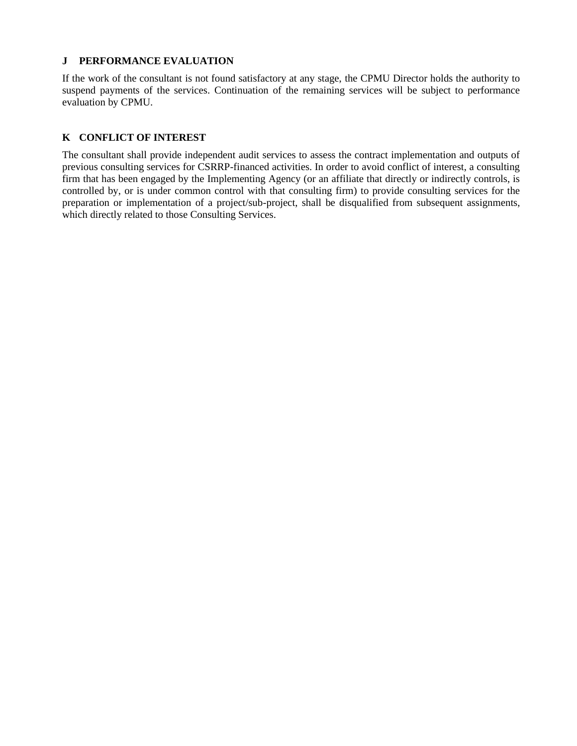## **J PERFORMANCE EVALUATION**

If the work of the consultant is not found satisfactory at any stage, the CPMU Director holds the authority to suspend payments of the services. Continuation of the remaining services will be subject to performance evaluation by CPMU.

# **K CONFLICT OF INTEREST**

The consultant shall provide independent audit services to assess the contract implementation and outputs of previous consulting services for CSRRP-financed activities. In order to avoid conflict of interest, a consulting firm that has been engaged by the Implementing Agency (or an affiliate that directly or indirectly controls, is controlled by, or is under common control with that consulting firm) to provide consulting services for the preparation or implementation of a project/sub-project, shall be disqualified from subsequent assignments, which directly related to those Consulting Services.